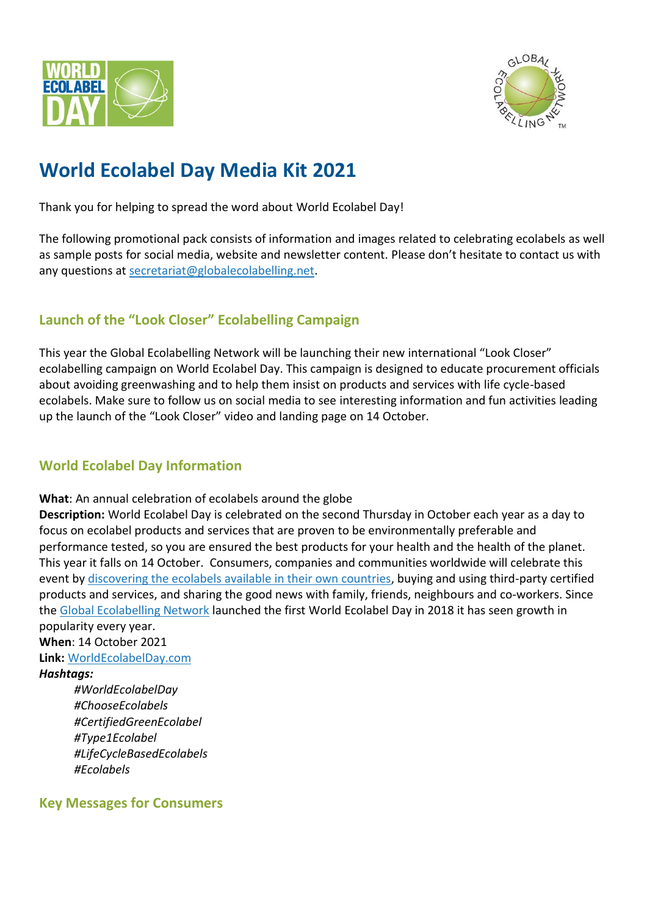



# **World Ecolabel Day Media Kit 2021**

Thank you for helping to spread the word about World Ecolabel Day!

The following promotional pack consists of information and images related to celebrating ecolabels as well as sample posts for social media, website and newsletter content. Please don't hesitate to contact us with any questions at [secretariat@globalecolabelling.net.](mailto:secretariat@globalecolabelling.net)

# **Launch of the "Look Closer" Ecolabelling Campaign**

This year the Global Ecolabelling Network will be launching their new international "Look Closer" ecolabelling campaign on World Ecolabel Day. This campaign is designed to educate procurement officials about avoiding greenwashing and to help them insist on products and services with life cycle-based ecolabels. Make sure to follow us on social media to see interesting information and fun activities leading up the launch of the "Look Closer" video and landing page on 14 October.

# **World Ecolabel Day Information**

**What**: An annual celebration of ecolabels around the globe

**Description:** World Ecolabel Day is celebrated on the second Thursday in October each year as a day to focus on ecolabel products and services that are proven to be environmentally preferable and performance tested, so you are ensured the best products for your health and the health of the planet. This year it falls on 14 October. Consumers, companies and communities worldwide will celebrate this event by [discovering the ecolabels available in their own countries,](https://globalecolabelling.net/gen-members/gen-full-members-list/) buying and using third-party certified products and services, and sharing the good news with family, friends, neighbours and co-workers. Since the [Global Ecolabelling Network](https://globalecolabelling.net/) launched the first World Ecolabel Day in 2018 it has seen growth in

popularity every year.

**When**: 14 October 2021 **Link:** [WorldEcolabelDay.com](https://www.globalecolabelling.net/world-ecolabel-day-2/world-ecolabel-day/)

*Hashtags:*

*#WorldEcolabelDay #ChooseEcolabels #CertifiedGreenEcolabel #Type1Ecolabel #LifeCycleBasedEcolabels #Ecolabels*

## **Key Messages for Consumers**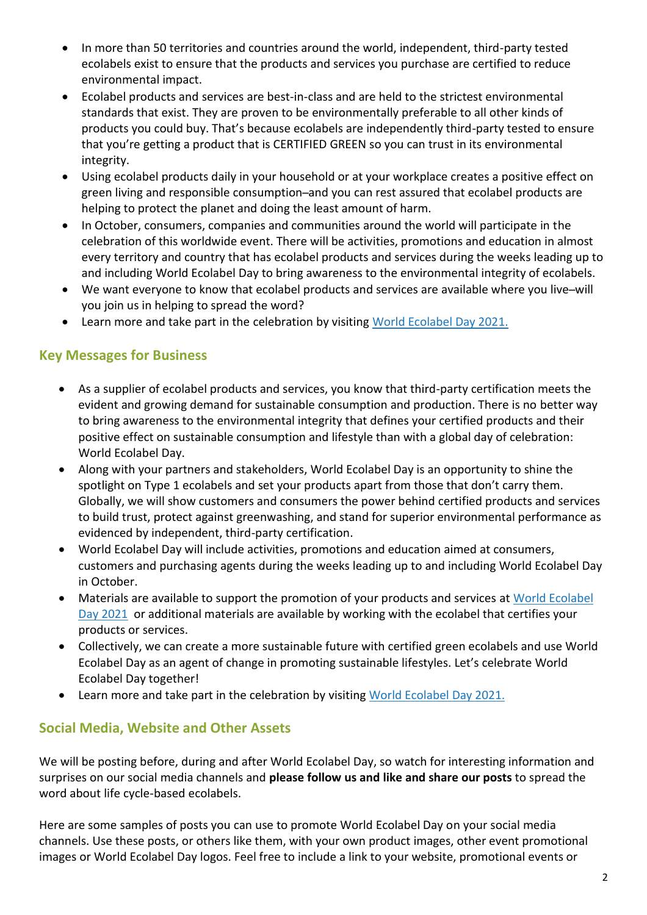- In more than 50 territories and countries around the world, independent, third-party tested ecolabels exist to ensure that the products and services you purchase are certified to reduce environmental impact.
- Ecolabel products and services are best-in-class and are held to the strictest environmental standards that exist. They are proven to be environmentally preferable to all other kinds of products you could buy. That's because ecolabels are independently third-party tested to ensure that you're getting a product that is CERTIFIED GREEN so you can trust in its environmental integrity.
- Using ecolabel products daily in your household or at your workplace creates a positive effect on green living and responsible consumption-and you can rest assured that ecolabel products are helping to protect the planet and doing the least amount of harm.
- In October, consumers, companies and communities around the world will participate in the celebration of this worldwide event. There will be activities, promotions and education in almost every territory and country that has ecolabel products and services during the weeks leading up to and including World Ecolabel Day to bring awareness to the environmental integrity of ecolabels.
- We want everyone to know that ecolabel products and services are available where you live-will you join us in helping to spread the word?
- Learn more and take part in the celebration by visiting [World Ecolabel Day 2021.](https://globalecolabelling.net/world-ecolabel-day-2/world-ecolabel-day/)

## **Key Messages for Business**

- As a supplier of ecolabel products and services, you know that third-party certification meets the evident and growing demand for sustainable consumption and production. There is no better way to bring awareness to the environmental integrity that defines your certified products and their positive effect on sustainable consumption and lifestyle than with a global day of celebration: World Ecolabel Day.
- Along with your partners and stakeholders, World Ecolabel Day is an opportunity to shine the spotlight on Type 1 ecolabels and set your products apart from those that don't carry them. Globally, we will show customers and consumers the power behind certified products and services to build trust, protect against greenwashing, and stand for superior environmental performance as evidenced by independent, third-party certification.
- World Ecolabel Day will include activities, promotions and education aimed at consumers, customers and purchasing agents during the weeks leading up to and including World Ecolabel Day in October.
- Materials are available to support the promotion of your products and services at World Ecolabel [Day 2021](https://globalecolabelling.net/world-ecolabel-day-2/world-ecolabel-day/) or additional materials are available by working with the ecolabel that certifies your products or services.
- Collectively, we can create a more sustainable future with certified green ecolabels and use World Ecolabel Day as an agent of change in promoting sustainable lifestyles. Let's celebrate World Ecolabel Day together!
- Learn more and take part in the celebration by visiting [World Ecolabel Day 2021.](https://globalecolabelling.net/world-ecolabel-day-2/world-ecolabel-day/)

## **Social Media, Website and Other Assets**

We will be posting before, during and after World Ecolabel Day, so watch for interesting information and surprises on our social media channels and **please follow us and like and share our posts** to spread the word about life cycle-based ecolabels.

Here are some samples of posts you can use to promote World Ecolabel Day on your social media channels. Use these posts, or others like them, with your own product images, other event promotional images or World Ecolabel Day logos. Feel free to include a link to your website, promotional events or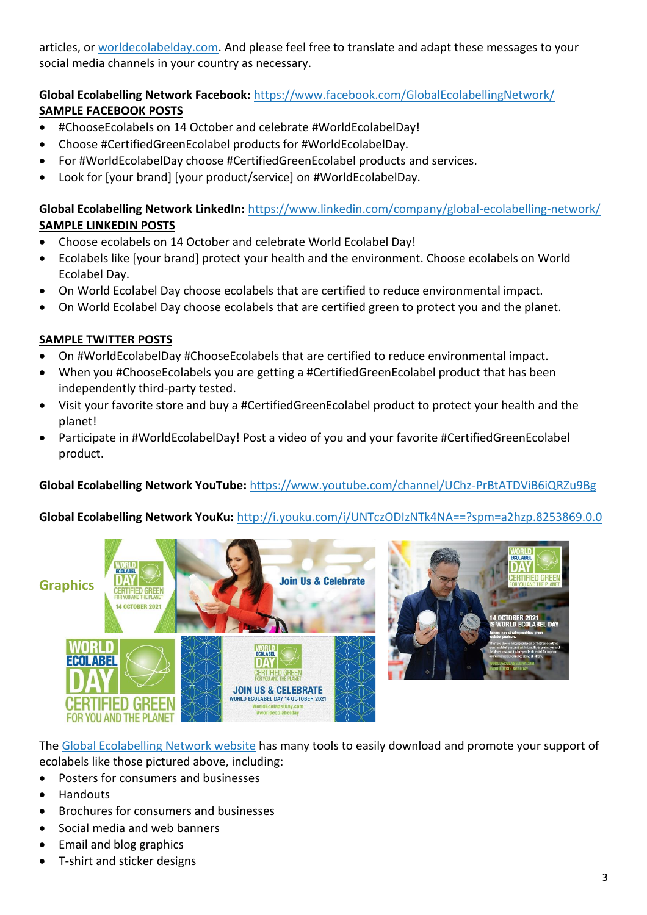articles, or [worldecolabelday.com.](https://www.globalecolabelling.net/world-ecolabel-day/) And please feel free to translate and adapt these messages to your social media channels in your country as necessary.

## **Global Ecolabelling Network Facebook:** <https://www.facebook.com/GlobalEcolabellingNetwork/> **SAMPLE FACEBOOK POSTS**

- #ChooseEcolabels on 14 October and celebrate #WorldEcolabelDay!
- Choose #CertifiedGreenEcolabel products for #WorldEcolabelDay.
- For #WorldEcolabelDay choose #CertifiedGreenEcolabel products and services.
- Look for [your brand] [your product/service] on #WorldEcolabelDay.

#### **Global Ecolabelling Network LinkedIn:** <https://www.linkedin.com/company/global-ecolabelling-network/> **SAMPLE LINKEDIN POSTS**

- Choose ecolabels on 14 October and celebrate World Ecolabel Day!
- Ecolabels like [your brand] protect your health and the environment. Choose ecolabels on World Ecolabel Day.
- On World Ecolabel Day choose ecolabels that are certified to reduce environmental impact.
- On World Ecolabel Day choose ecolabels that are certified green to protect you and the planet.

#### **SAMPLE TWITTER POSTS**

- On #WorldEcolabelDay #ChooseEcolabels that are certified to reduce environmental impact.
- When you #ChooseEcolabels you are getting a #CertifiedGreenEcolabel product that has been independently third-party tested.
- Visit your favorite store and buy a #CertifiedGreenEcolabel product to protect your health and the planet!
- Participate in #WorldEcolabelDay! Post a video of you and your favorite #CertifiedGreenEcolabel product.

#### **Global Ecolabelling Network YouTube:** <https://www.youtube.com/channel/UChz-PrBtATDViB6iQRZu9Bg>

#### **Global Ecolabelling Network YouKu:** <http://i.youku.com/i/UNTczODIzNTk4NA==?spm=a2hzp.8253869.0.0>





The [Global Ecolabelling Network website](https://globalecolabelling.net/world-ecolabel-day-2/world-ecolabel-day/) has many tools to easily download and promote your support of ecolabels like those pictured above, including:

- Posters for consumers and businesses
- Handouts
- Brochures for consumers and businesses
- Social media and web banners
- Email and blog graphics
- T-shirt and sticker designs